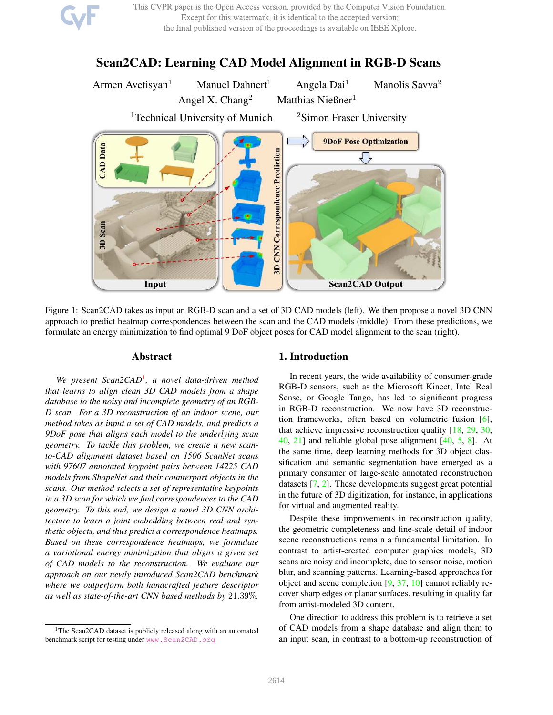This CVPR paper is the Open Access version, provided by the Computer Vision Foundation. Except for this watermark, it is identical to the accepted version; the final published version of the proceedings is available on IEEE Xplore.

# Scan2CAD: Learning CAD Model Alignment in RGB-D Scans



Figure 1: Scan2CAD takes as input an RGB-D scan and a set of 3D CAD models (left). We then propose a novel 3D CNN approach to predict heatmap correspondences between the scan and the CAD models (middle). From these predictions, we formulate an energy minimization to find optimal 9 DoF object poses for CAD model alignment to the scan (right).

# Abstract

*We present Scan2CAD*<sup>1</sup> *, a novel data-driven method that learns to align clean 3D CAD models from a shape database to the noisy and incomplete geometry of an RGB-D scan. For a 3D reconstruction of an indoor scene, our method takes as input a set of CAD models, and predicts a 9DoF pose that aligns each model to the underlying scan geometry. To tackle this problem, we create a new scanto-CAD alignment dataset based on 1506 ScanNet scans with 97607 annotated keypoint pairs between 14225 CAD models from ShapeNet and their counterpart objects in the scans. Our method selects a set of representative keypoints in a 3D scan for which we find correspondences to the CAD geometry. To this end, we design a novel 3D CNN architecture to learn a joint embedding between real and synthetic objects, and thus predict a correspondence heatmaps. Based on these correspondence heatmaps, we formulate a variational energy minimization that aligns a given set of CAD models to the reconstruction. We evaluate our approach on our newly introduced Scan2CAD benchmark where we outperform both handcrafted feature descriptor as well as state-of-the-art CNN based methods by* 21.39%*.*

### 1. Introduction

In recent years, the wide availability of consumer-grade RGB-D sensors, such as the Microsoft Kinect, Intel Real Sense, or Google Tango, has led to significant progress in RGB-D reconstruction. We now have 3D reconstruction frameworks, often based on volumetric fusion [6], that achieve impressive reconstruction quality [18, 29, 30, 40, 21] and reliable global pose alignment [40, 5, 8]. At the same time, deep learning methods for 3D object classification and semantic segmentation have emerged as a primary consumer of large-scale annotated reconstruction datasets [7, 2]. These developments suggest great potential in the future of 3D digitization, for instance, in applications for virtual and augmented reality.

Despite these improvements in reconstruction quality, the geometric completeness and fine-scale detail of indoor scene reconstructions remain a fundamental limitation. In contrast to artist-created computer graphics models, 3D scans are noisy and incomplete, due to sensor noise, motion blur, and scanning patterns. Learning-based approaches for object and scene completion [9, 37, 10] cannot reliably recover sharp edges or planar surfaces, resulting in quality far from artist-modeled 3D content.

One direction to address this problem is to retrieve a set of CAD models from a shape database and align them to an input scan, in contrast to a bottom-up reconstruction of

<sup>&</sup>lt;sup>1</sup>The Scan2CAD dataset is publicly released along with an automated benchmark script for testing under www.Scan2CAD.org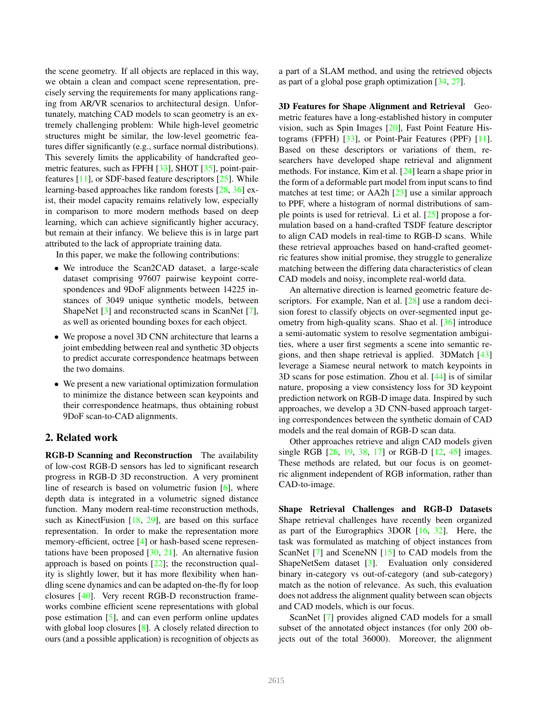the scene geometry. If all objects are replaced in this way, we obtain a clean and compact scene representation, precisely serving the requirements for many applications ranging from AR/VR scenarios to architectural design. Unfortunately, matching CAD models to scan geometry is an extremely challenging problem: While high-level geometric structures might be similar, the low-level geometric features differ significantly (e.g., surface normal distributions). This severely limits the applicability of handcrafted geometric features, such as FPFH [33], SHOT [35], point-pairfeatures [11], or SDF-based feature descriptors [25]. While learning-based approaches like random forests [28, 36] exist, their model capacity remains relatively low, especially in comparison to more modern methods based on deep learning, which can achieve significantly higher accuracy, but remain at their infancy. We believe this is in large part attributed to the lack of appropriate training data.

In this paper, we make the following contributions:

- We introduce the Scan2CAD dataset, a large-scale dataset comprising 97607 pairwise keypoint correspondences and 9DoF alignments between 14225 instances of 3049 unique synthetic models, between ShapeNet [3] and reconstructed scans in ScanNet [7], as well as oriented bounding boxes for each object.
- We propose a novel 3D CNN architecture that learns a joint embedding between real and synthetic 3D objects to predict accurate correspondence heatmaps between the two domains.
- We present a new variational optimization formulation to minimize the distance between scan keypoints and their correspondence heatmaps, thus obtaining robust 9DoF scan-to-CAD alignments.

# 2. Related work

RGB-D Scanning and Reconstruction The availability of low-cost RGB-D sensors has led to significant research progress in RGB-D 3D reconstruction. A very prominent line of research is based on volumetric fusion [6], where depth data is integrated in a volumetric signed distance function. Many modern real-time reconstruction methods, such as KinectFusion [18, 29], are based on this surface representation. In order to make the representation more memory-efficient, octree [4] or hash-based scene representations have been proposed  $[30, 21]$ . An alternative fusion approach is based on points [22]; the reconstruction quality is slightly lower, but it has more flexibility when handling scene dynamics and can be adapted on-the-fly for loop closures [40]. Very recent RGB-D reconstruction frameworks combine efficient scene representations with global pose estimation [5], and can even perform online updates with global loop closures [8]. A closely related direction to ours (and a possible application) is recognition of objects as a part of a SLAM method, and using the retrieved objects as part of a global pose graph optimization [34, 27].

3D Features for Shape Alignment and Retrieval Geometric features have a long-established history in computer vision, such as Spin Images [20], Fast Point Feature Histograms (FPFH) [33], or Point-Pair Features (PPF) [11]. Based on these descriptors or variations of them, researchers have developed shape retrieval and alignment methods. For instance, Kim et al. [24] learn a shape prior in the form of a deformable part model from input scans to find matches at test time; or AA2h [23] use a similar approach to PPF, where a histogram of normal distributions of sample points is used for retrieval. Li et al. [25] propose a formulation based on a hand-crafted TSDF feature descriptor to align CAD models in real-time to RGB-D scans. While these retrieval approaches based on hand-crafted geometric features show initial promise, they struggle to generalize matching between the differing data characteristics of clean CAD models and noisy, incomplete real-world data.

An alternative direction is learned geometric feature descriptors. For example, Nan et al. [28] use a random decision forest to classify objects on over-segmented input geometry from high-quality scans. Shao et al. [36] introduce a semi-automatic system to resolve segmentation ambiguities, where a user first segments a scene into semantic regions, and then shape retrieval is applied. 3DMatch [43] leverage a Siamese neural network to match keypoints in 3D scans for pose estimation. Zhou et al. [44] is of similar nature, proposing a view consistency loss for 3D keypoint prediction network on RGB-D image data. Inspired by such approaches, we develop a 3D CNN-based approach targeting correspondences between the synthetic domain of CAD models and the real domain of RGB-D scan data.

Other approaches retrieve and align CAD models given single RGB [26, 19, 38, 17] or RGB-D [12, 45] images. These methods are related, but our focus is on geometric alignment independent of RGB information, rather than CAD-to-image.

Shape Retrieval Challenges and RGB-D Datasets Shape retrieval challenges have recently been organized as part of the Eurographics 3DOR [16, 32]. Here, the task was formulated as matching of object instances from ScanNet [7] and SceneNN [15] to CAD models from the ShapeNetSem dataset [3]. Evaluation only considered binary in-category vs out-of-category (and sub-category) match as the notion of relevance. As such, this evaluation does not address the alignment quality between scan objects and CAD models, which is our focus.

ScanNet [7] provides aligned CAD models for a small subset of the annotated object instances (for only 200 objects out of the total 36000). Moreover, the alignment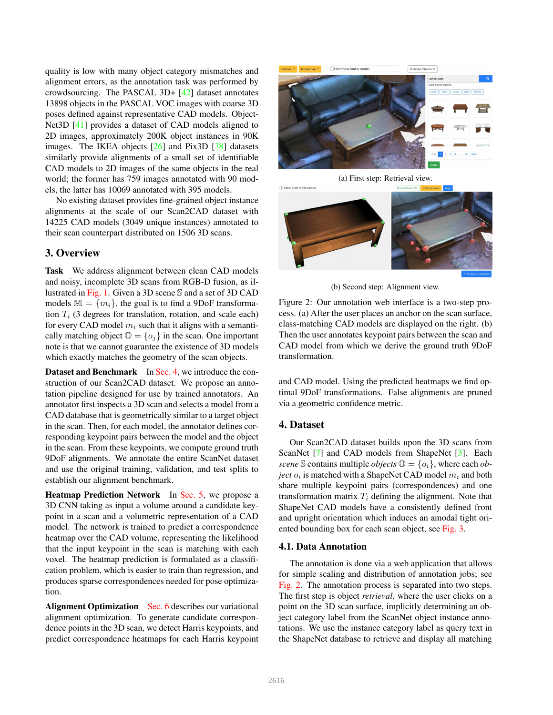quality is low with many object category mismatches and alignment errors, as the annotation task was performed by crowdsourcing. The PASCAL 3D+ [42] dataset annotates 13898 objects in the PASCAL VOC images with coarse 3D poses defined against representative CAD models. Object-Net3D [41] provides a dataset of CAD models aligned to 2D images, approximately 200K object instances in 90K images. The IKEA objects [26] and Pix3D [38] datasets similarly provide alignments of a small set of identifiable CAD models to 2D images of the same objects in the real world; the former has 759 images annotated with 90 models, the latter has 10069 annotated with 395 models.

No existing dataset provides fine-grained object instance alignments at the scale of our Scan2CAD dataset with 14225 CAD models (3049 unique instances) annotated to their scan counterpart distributed on 1506 3D scans.

# 3. Overview

Task We address alignment between clean CAD models and noisy, incomplete 3D scans from RGB-D fusion, as illustrated in Fig. 1. Given a 3D scene S and a set of 3D CAD models  $M = \{m_i\}$ , the goal is to find a 9DoF transformation  $T<sub>i</sub>$  (3 degrees for translation, rotation, and scale each) for every CAD model  $m_i$  such that it aligns with a semantically matching object  $\mathbb{O} = \{o_i\}$  in the scan. One important note is that we cannot guarantee the existence of 3D models which exactly matches the geometry of the scan objects.

Dataset and Benchmark In Sec. 4, we introduce the construction of our Scan2CAD dataset. We propose an annotation pipeline designed for use by trained annotators. An annotator first inspects a 3D scan and selects a model from a CAD database that is geometrically similar to a target object in the scan. Then, for each model, the annotator defines corresponding keypoint pairs between the model and the object in the scan. From these keypoints, we compute ground truth 9DoF alignments. We annotate the entire ScanNet dataset and use the original training, validation, and test splits to establish our alignment benchmark.

Heatmap Prediction Network In Sec. 5, we propose a 3D CNN taking as input a volume around a candidate keypoint in a scan and a volumetric representation of a CAD model. The network is trained to predict a correspondence heatmap over the CAD volume, representing the likelihood that the input keypoint in the scan is matching with each voxel. The heatmap prediction is formulated as a classification problem, which is easier to train than regression, and produces sparse correspondences needed for pose optimization.

Alignment Optimization Sec. 6 describes our variational alignment optimization. To generate candidate correspondence points in the 3D scan, we detect Harris keypoints, and predict correspondence heatmaps for each Harris keypoint



(a) First step: Retrieval view. (i) Place point in left window

(b) Second step: Alignment view.

Figure 2: Our annotation web interface is a two-step process. (a) After the user places an anchor on the scan surface, class-matching CAD models are displayed on the right. (b) Then the user annotates keypoint pairs between the scan and CAD model from which we derive the ground truth 9DoF transformation.

and CAD model. Using the predicted heatmaps we find optimal 9DoF transformations. False alignments are pruned via a geometric confidence metric.

### 4. Dataset

Our Scan2CAD dataset builds upon the 3D scans from ScanNet [7] and CAD models from ShapeNet [3]. Each *scene* S contains multiple *objects*  $\mathbb{O} = \{o_i\}$ , where each *object*  $o_i$  is matched with a ShapeNet CAD model  $m_i$  and both share multiple keypoint pairs (correspondences) and one transformation matrix  $T_i$  defining the alignment. Note that ShapeNet CAD models have a consistently defined front and upright orientation which induces an amodal tight oriented bounding box for each scan object, see Fig. 3.

#### 4.1. Data Annotation

The annotation is done via a web application that allows for simple scaling and distribution of annotation jobs; see Fig. 2. The annotation process is separated into two steps. The first step is object *retrieval*, where the user clicks on a point on the 3D scan surface, implicitly determining an object category label from the ScanNet object instance annotations. We use the instance category label as query text in the ShapeNet database to retrieve and display all matching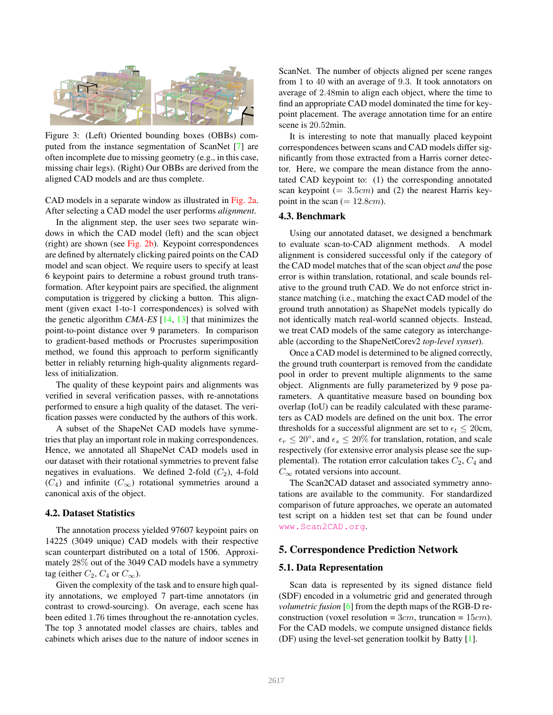

Figure 3: (Left) Oriented bounding boxes (OBBs) computed from the instance segmentation of ScanNet [7] are often incomplete due to missing geometry (e.g., in this case, missing chair legs). (Right) Our OBBs are derived from the aligned CAD models and are thus complete.

CAD models in a separate window as illustrated in Fig. 2a. After selecting a CAD model the user performs *alignment*.

In the alignment step, the user sees two separate windows in which the CAD model (left) and the scan object (right) are shown (see Fig. 2b). Keypoint correspondences are defined by alternately clicking paired points on the CAD model and scan object. We require users to specify at least 6 keypoint pairs to determine a robust ground truth transformation. After keypoint pairs are specified, the alignment computation is triggered by clicking a button. This alignment (given exact 1-to-1 correspondences) is solved with the genetic algorithm *CMA-ES* [14, 13] that minimizes the point-to-point distance over 9 parameters. In comparison to gradient-based methods or Procrustes superimposition method, we found this approach to perform significantly better in reliably returning high-quality alignments regardless of initialization.

The quality of these keypoint pairs and alignments was verified in several verification passes, with re-annotations performed to ensure a high quality of the dataset. The verification passes were conducted by the authors of this work.

A subset of the ShapeNet CAD models have symmetries that play an important role in making correspondences. Hence, we annotated all ShapeNet CAD models used in our dataset with their rotational symmetries to prevent false negatives in evaluations. We defined 2-fold  $(C_2)$ , 4-fold  $(C_4)$  and infinite  $(C_{\infty})$  rotational symmetries around a canonical axis of the object.

### 4.2. Dataset Statistics

The annotation process yielded 97607 keypoint pairs on 14225 (3049 unique) CAD models with their respective scan counterpart distributed on a total of 1506. Approximately 28% out of the 3049 CAD models have a symmetry tag (either  $C_2$ ,  $C_4$  or  $C_{\infty}$ ).

Given the complexity of the task and to ensure high quality annotations, we employed 7 part-time annotators (in contrast to crowd-sourcing). On average, each scene has been edited 1.76 times throughout the re-annotation cycles. The top 3 annotated model classes are chairs, tables and cabinets which arises due to the nature of indoor scenes in ScanNet. The number of objects aligned per scene ranges from 1 to 40 with an average of 9.3. It took annotators on average of 2.48min to align each object, where the time to find an appropriate CAD model dominated the time for keypoint placement. The average annotation time for an entire scene is 20.52min.

It is interesting to note that manually placed keypoint correspondences between scans and CAD models differ significantly from those extracted from a Harris corner detector. Here, we compare the mean distance from the annotated CAD keypoint to: (1) the corresponding annotated scan keypoint  $(= 3.5cm)$  and (2) the nearest Harris keypoint in the scan  $(= 12.8cm)$ .

#### 4.3. Benchmark

Using our annotated dataset, we designed a benchmark to evaluate scan-to-CAD alignment methods. A model alignment is considered successful only if the category of the CAD model matches that of the scan object *and* the pose error is within translation, rotational, and scale bounds relative to the ground truth CAD. We do not enforce strict instance matching (i.e., matching the exact CAD model of the ground truth annotation) as ShapeNet models typically do not identically match real-world scanned objects. Instead, we treat CAD models of the same category as interchangeable (according to the ShapeNetCorev2 *top-level synset*).

Once a CAD model is determined to be aligned correctly, the ground truth counterpart is removed from the candidate pool in order to prevent multiple alignments to the same object. Alignments are fully parameterized by 9 pose parameters. A quantitative measure based on bounding box overlap (IoU) can be readily calculated with these parameters as CAD models are defined on the unit box. The error thresholds for a successful alignment are set to  $\epsilon_t \leq 20$ cm,  $\epsilon_r \leq 20^{\circ}$ , and  $\epsilon_s \leq 20\%$  for translation, rotation, and scale respectively (for extensive error analysis please see the supplemental). The rotation error calculation takes  $C_2$ ,  $C_4$  and  $C_{\infty}$  rotated versions into account.

The Scan2CAD dataset and associated symmetry annotations are available to the community. For standardized comparison of future approaches, we operate an automated test script on a hidden test set that can be found under www.Scan2CAD.org.

### 5. Correspondence Prediction Network

#### 5.1. Data Representation

Scan data is represented by its signed distance field (SDF) encoded in a volumetric grid and generated through *volumetric fusion* [6] from the depth maps of the RGB-D reconstruction (voxel resolution =  $3cm$ , truncation =  $15cm$ ). For the CAD models, we compute unsigned distance fields (DF) using the level-set generation toolkit by Batty [1].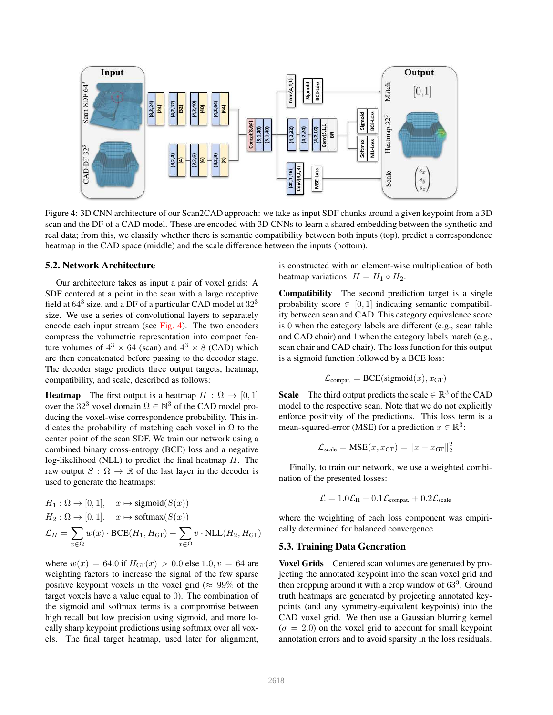

Figure 4: 3D CNN architecture of our Scan2CAD approach: we take as input SDF chunks around a given keypoint from a 3D scan and the DF of a CAD model. These are encoded with 3D CNNs to learn a shared embedding between the synthetic and real data; from this, we classify whether there is semantic compatibility between both inputs (top), predict a correspondence heatmap in the CAD space (middle) and the scale difference between the inputs (bottom).

#### 5.2. Network Architecture

Our architecture takes as input a pair of voxel grids: A SDF centered at a point in the scan with a large receptive field at  $64^3$  size, and a DF of a particular CAD model at  $32^3$ size. We use a series of convolutional layers to separately encode each input stream (see Fig. 4). The two encoders compress the volumetric representation into compact feature volumes of  $4^3 \times 64$  (scan) and  $4^3 \times 8$  (CAD) which are then concatenated before passing to the decoder stage. The decoder stage predicts three output targets, heatmap, compatibility, and scale, described as follows:

**Heatmap** The first output is a heatmap  $H : \Omega \to [0, 1]$ over the  $32^3$  voxel domain  $\Omega \in \mathbb{N}^3$  of the CAD model producing the voxel-wise correspondence probability. This indicates the probability of matching each voxel in  $\Omega$  to the center point of the scan SDF. We train our network using a combined binary cross-entropy (BCE) loss and a negative log-likelihood (NLL) to predict the final heatmap  $H$ . The raw output  $S : \Omega \to \mathbb{R}$  of the last layer in the decoder is used to generate the heatmaps:

$$
H_1: \Omega \to [0, 1], \quad x \mapsto \text{sigmoid}(S(x))
$$
  
\n
$$
H_2: \Omega \to [0, 1], \quad x \mapsto \text{softmax}(S(x))
$$
  
\n
$$
\mathcal{L}_H = \sum_{x \in \Omega} w(x) \cdot \text{BCE}(H_1, H_{GT}) + \sum_{x \in \Omega} v \cdot \text{NLL}(H_2, H_{GT})
$$

where  $w(x) = 64.0$  if  $H_{GT}(x) > 0.0$  else 1.0,  $v = 64$  are weighting factors to increase the signal of the few sparse positive keypoint voxels in the voxel grid ( $\approx 99\%$  of the target voxels have a value equal to 0). The combination of the sigmoid and softmax terms is a compromise between high recall but low precision using sigmoid, and more locally sharp keypoint predictions using softmax over all voxels. The final target heatmap, used later for alignment, is constructed with an element-wise multiplication of both heatmap variations:  $H = H_1 \circ H_2$ .

Compatibility The second prediction target is a single probability score  $\in [0, 1]$  indicating semantic compatibility between scan and CAD. This category equivalence score is 0 when the category labels are different (e.g., scan table and CAD chair) and 1 when the category labels match (e.g., scan chair and CAD chair). The loss function for this output is a sigmoid function followed by a BCE loss:

$$
\mathcal{L}_{\text{compact.}} = \text{BCE}(\text{sigmoid}(x), x_{\text{GT}})
$$

**Scale** The third output predicts the scale  $\in \mathbb{R}^3$  of the CAD model to the respective scan. Note that we do not explicitly enforce positivity of the predictions. This loss term is a mean-squared-error (MSE) for a prediction  $x \in \mathbb{R}^3$ :

$$
\mathcal{L}_{\text{scale}} = \text{MSE}(x, x_{\text{GT}}) = \|x - x_{\text{GT}}\|_2^2
$$

Finally, to train our network, we use a weighted combination of the presented losses:

$$
\mathcal{L} = 1.0 \mathcal{L}_{\rm H} + 0.1 \mathcal{L}_{\rm{compact.}} + 0.2 \mathcal{L}_{\rm{scale}}
$$

where the weighting of each loss component was empirically determined for balanced convergence.

### 5.3. Training Data Generation

Voxel Grids Centered scan volumes are generated by projecting the annotated keypoint into the scan voxel grid and then cropping around it with a crop window of  $63<sup>3</sup>$ . Ground truth heatmaps are generated by projecting annotated keypoints (and any symmetry-equivalent keypoints) into the CAD voxel grid. We then use a Gaussian blurring kernel  $(\sigma = 2.0)$  on the voxel grid to account for small keypoint annotation errors and to avoid sparsity in the loss residuals.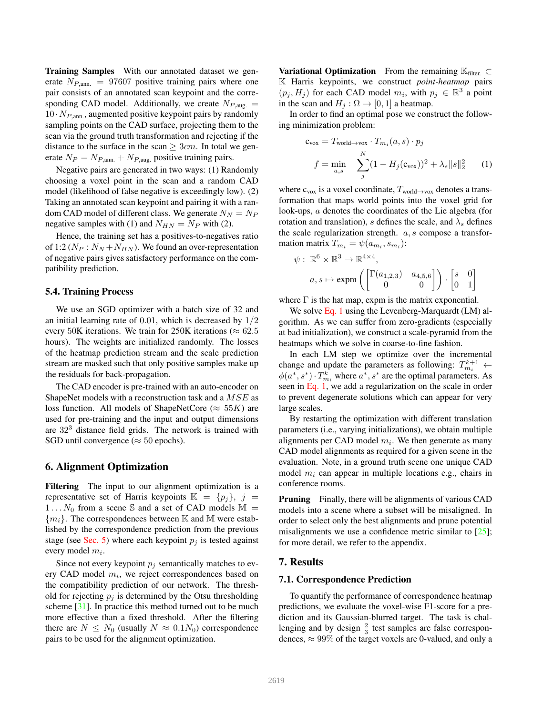Training Samples With our annotated dataset we generate  $N_{P,\text{ann.}} = 97607$  positive training pairs where one pair consists of an annotated scan keypoint and the corresponding CAD model. Additionally, we create  $N_{P,\text{aug.}} =$  $10 \cdot N_{P,\text{ann}}$ , augmented positive keypoint pairs by randomly sampling points on the CAD surface, projecting them to the scan via the ground truth transformation and rejecting if the distance to the surface in the scan  $\geq 3cm$ . In total we generate  $N_P = N_{P,\text{ann.}} + N_{P,\text{aug.}}$  positive training pairs.

Negative pairs are generated in two ways: (1) Randomly choosing a voxel point in the scan and a random CAD model (likelihood of false negative is exceedingly low). (2) Taking an annotated scan keypoint and pairing it with a random CAD model of different class. We generate  $N_N = N_P$ negative samples with (1) and  $N_{HN} = N_P$  with (2).

Hence, the training set has a positives-to-negatives ratio of 1:2 ( $N_P$  :  $N_N + N_{HN}$ ). We found an over-representation of negative pairs gives satisfactory performance on the compatibility prediction.

#### 5.4. Training Process

We use an SGD optimizer with a batch size of 32 and an initial learning rate of  $0.01$ , which is decreased by  $1/2$ every 50K iterations. We train for 250K iterations ( $\approx 62.5$ ) hours). The weights are initialized randomly. The losses of the heatmap prediction stream and the scale prediction stream are masked such that only positive samples make up the residuals for back-propagation.

The CAD encoder is pre-trained with an auto-encoder on ShapeNet models with a reconstruction task and a  $MSE$  as loss function. All models of ShapeNetCore ( $\approx 55K$ ) are used for pre-training and the input and output dimensions are  $32<sup>3</sup>$  distance field grids. The network is trained with SGD until convergence ( $\approx$  50 epochs).

### 6. Alignment Optimization

Filtering The input to our alignment optimization is a representative set of Harris keypoints  $\mathbb{K} = \{p_i\}, i =$  $1 \dots N_0$  from a scene S and a set of CAD models M =  ${m_i}$ . The correspondences between K and M were established by the correspondence prediction from the previous stage (see Sec. 5) where each keypoint  $p_j$  is tested against every model  $m_i$ .

Since not every keypoint  $p_i$  semantically matches to every CAD model  $m_i$ , we reject correspondences based on the compatibility prediction of our network. The threshold for rejecting  $p_i$  is determined by the Otsu thresholding scheme [31]. In practice this method turned out to be much more effective than a fixed threshold. After the filtering there are  $N \leq N_0$  (usually  $N \approx 0.1 N_0$ ) correspondence pairs to be used for the alignment optimization.

**Variational Optimization** From the remaining  $\mathbb{K}_{\text{filter}} \subset$ K Harris keypoints, we construct *point-heatmap* pairs  $(p_j, H_j)$  for each CAD model  $m_i$ , with  $p_j \in \mathbb{R}^3$  a point in the scan and  $H_j$  :  $\Omega \rightarrow [0, 1]$  a heatmap.

In order to find an optimal pose we construct the following minimization problem:

$$
\mathbf{c}_{\text{vox}} = T_{\text{world}\rightarrow\text{vox}} \cdot T_{m_i}(a, s) \cdot p_j
$$

$$
f = \min_{a, s} \sum_{j}^{N} (1 - H_j(\mathbf{c}_{\text{vox}}))^2 + \lambda_s ||s||_2^2 \qquad (1)
$$

where  $c_{vox}$  is a voxel coordinate,  $T_{world \rightarrow yox}$  denotes a transformation that maps world points into the voxel grid for look-ups, a denotes the coordinates of the Lie algebra (for rotation and translation), s defines the scale, and  $\lambda_s$  defines the scale regularization strength.  $a, s$  compose a transformation matrix  $T_{m_i} = \psi(a_{m_i}, s_{m_i})$ :

$$
\psi: \mathbb{R}^6 \times \mathbb{R}^3 \to \mathbb{R}^{4 \times 4},
$$

$$
a, s \mapsto \exp\left(\begin{bmatrix} \Gamma(a_{1,2,3}) & a_{4,5,6} \\ 0 & 0 \end{bmatrix}\right) \cdot \begin{bmatrix} s & 0 \\ 0 & 1 \end{bmatrix}
$$

where  $\Gamma$  is the hat map, expm is the matrix exponential.

We solve Eq. 1 using the Levenberg-Marquardt (LM) algorithm. As we can suffer from zero-gradients (especially at bad initialization), we construct a scale-pyramid from the heatmaps which we solve in coarse-to-fine fashion.

In each LM step we optimize over the incremental change and update the parameters as following:  $T_{m_i}^{k+1}$   $\leftarrow$  $\phi(a^*, s^*) \cdot T_{m_i}^k$  where  $a^*, s^*$  are the optimal parameters. As seen in Eq. 1, we add a regularization on the scale in order to prevent degenerate solutions which can appear for very large scales.

By restarting the optimization with different translation parameters (i.e., varying initializations), we obtain multiple alignments per CAD model  $m_i$ . We then generate as many CAD model alignments as required for a given scene in the evaluation. Note, in a ground truth scene one unique CAD model  $m_i$  can appear in multiple locations e.g., chairs in conference rooms.

**Pruning** Finally, there will be alignments of various CAD models into a scene where a subset will be misaligned. In order to select only the best alignments and prune potential misalignments we use a confidence metric similar to  $[25]$ ; for more detail, we refer to the appendix.

### 7. Results

#### 7.1. Correspondence Prediction

To quantify the performance of correspondence heatmap predictions, we evaluate the voxel-wise F1-score for a prediction and its Gaussian-blurred target. The task is challenging and by design  $\frac{2}{3}$  test samples are false correspondences,  $\approx 99\%$  of the target voxels are 0-valued, and only a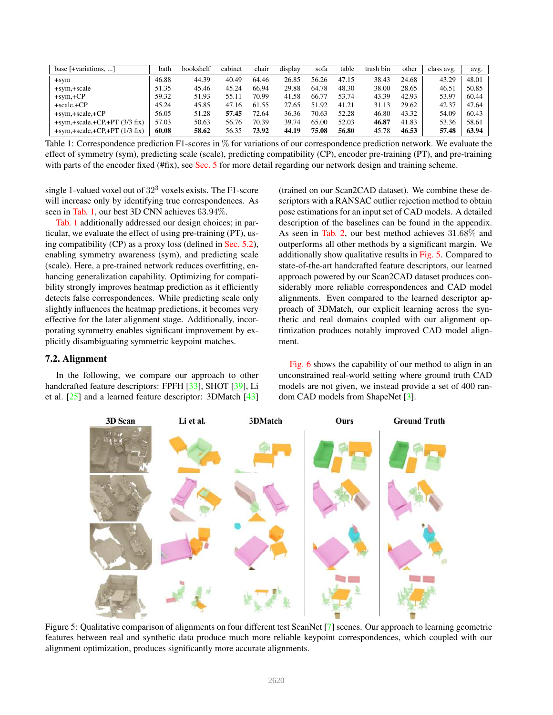| base $[+variations, \dots]$        | bath  | bookshelf | cabinet | chair | display | sofa  | table | trash bin | other | class avg. | avg.  |
|------------------------------------|-------|-----------|---------|-------|---------|-------|-------|-----------|-------|------------|-------|
| $+sym$                             | 46.88 | 44.39     | 40.49   | 64.46 | 26.85   | 56.26 | 47.15 | 38.43     | 24.68 | 43.29      | 48.01 |
| +sym,+scale                        | 51.35 | 45.46     | 45.24   | 66.94 | 29.88   | 64.78 | 48.30 | 38.00     | 28.65 | 46.51      | 50.85 |
| $+sym,+CP$                         | 59.32 | 51.93     | 55.11   | 70.99 | 41.58   | 66.77 | 53.74 | 43.39     | 42.93 | 53.97      | 60.44 |
| $+scale.+CP$                       | 45.24 | 45.85     | 47.16   | 61.55 | 27.65   | 51.92 | 41.21 | 31.13     | 29.62 | 42.37      | 47.64 |
| $+sym, +scale, +CP$                | 56.05 | 51.28     | 57.45   | 72.64 | 36.36   | 70.63 | 52.28 | 46.80     | 43.32 | 54.09      | 60.43 |
| $+sym, +scale, +CP, +PT (3/3 fix)$ | 57.03 | 50.63     | 56.76   | 70.39 | 39.74   | 65.00 | 52.03 | 46.87     | 41.83 | 53.36      | 58.61 |
| $+sym, +scale, +CP, +PT (1/3 fix)$ | 60.08 | 58.62     | 56.35   | 73.92 | 44.19   | 75.08 | 56.80 | 45.78     | 46.53 | 57.48      | 63.94 |

Table 1: Correspondence prediction F1-scores in % for variations of our correspondence prediction network. We evaluate the effect of symmetry (sym), predicting scale (scale), predicting compatibility (CP), encoder pre-training (PT), and pre-training with parts of the encoder fixed (#fix), see Sec. 5 for more detail regarding our network design and training scheme.

single 1-valued voxel out of  $32<sup>3</sup>$  voxels exists. The F1-score will increase only by identifying true correspondences. As seen in Tab. 1, our best 3D CNN achieves 63.94%.

Tab. 1 additionally addressed our design choices; in particular, we evaluate the effect of using pre-training (PT), using compatibility (CP) as a proxy loss (defined in Sec. 5.2), enabling symmetry awareness (sym), and predicting scale (scale). Here, a pre-trained network reduces overfitting, enhancing generalization capability. Optimizing for compatibility strongly improves heatmap prediction as it efficiently detects false correspondences. While predicting scale only slightly influences the heatmap predictions, it becomes very effective for the later alignment stage. Additionally, incorporating symmetry enables significant improvement by explicitly disambiguating symmetric keypoint matches.

### 7.2. Alignment

In the following, we compare our approach to other handcrafted feature descriptors: FPFH [33], SHOT [39], Li et al. [25] and a learned feature descriptor: 3DMatch [43]

(trained on our Scan2CAD dataset). We combine these descriptors with a RANSAC outlier rejection method to obtain pose estimations for an input set of CAD models. A detailed description of the baselines can be found in the appendix. As seen in Tab. 2, our best method achieves 31.68% and outperforms all other methods by a significant margin. We additionally show qualitative results in Fig. 5. Compared to state-of-the-art handcrafted feature descriptors, our learned approach powered by our Scan2CAD dataset produces considerably more reliable correspondences and CAD model alignments. Even compared to the learned descriptor approach of 3DMatch, our explicit learning across the synthetic and real domains coupled with our alignment optimization produces notably improved CAD model alignment.

Fig. 6 shows the capability of our method to align in an unconstrained real-world setting where ground truth CAD models are not given, we instead provide a set of 400 random CAD models from ShapeNet [3].



Figure 5: Qualitative comparison of alignments on four different test ScanNet [7] scenes. Our approach to learning geometric features between real and synthetic data produce much more reliable keypoint correspondences, which coupled with our alignment optimization, produces significantly more accurate alignments.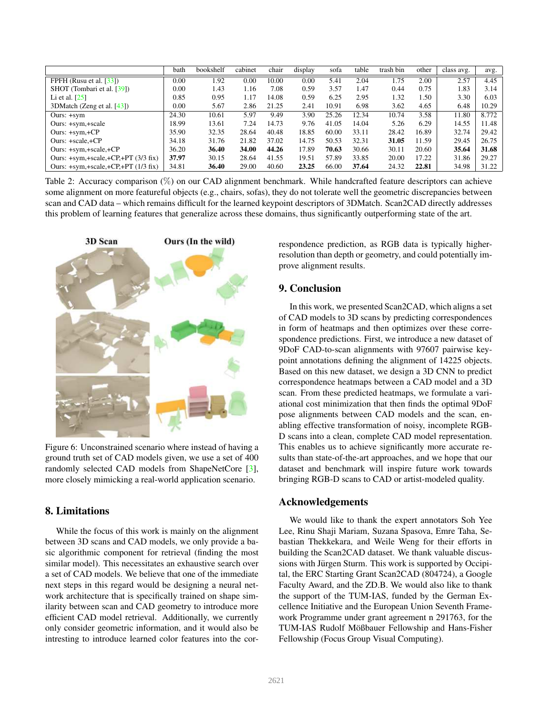|                                          | bath     | bookshelf | cabinet | chair | display | sofa  | table | trash bin | other | class avg. | avg.  |
|------------------------------------------|----------|-----------|---------|-------|---------|-------|-------|-----------|-------|------------|-------|
| FPFH (Rusu et al. $[33]$ )               | $0.00\,$ | .92       | 0.00    | 10.00 | 0.00    | 5.41  | 2.04  | 1.75      | 2.00  | 2.57       | 4.45  |
| SHOT (Tombari et al. [39])               | $0.00\,$ | 1.43      | 1.16    | 7.08  | 0.59    | 3.57  | 1.47  | 0.44      | 0.75  | 1.83       | 3.14  |
| Li et al. $[25]$                         | 0.85     | 0.95      | 1.17    | 14.08 | 0.59    | 6.25  | 2.95  | 1.32      | 1.50  | 3.30       | 6.03  |
| 3DMatch (Zeng et al. [43])               | 0.00     | 5.67      | 2.86    | 21.25 | 2.41    | 10.91 | 6.98  | 3.62      | 4.65  | 6.48       | 10.29 |
| Ours: $+sym$                             | 24.30    | 10.61     | 5.97    | 9.49  | 3.90    | 25.26 | 12.34 | 10.74     | 3.58  | 11.80      | 8.772 |
| Ours: +sym,+scale                        | 18.99    | 13.61     | 7.24    | 14.73 | 9.76    | 41.05 | 14.04 | 5.26      | 6.29  | 14.55      | 11.48 |
| Ours: $+sym,+CP$                         | 35.90    | 32.35     | 28.64   | 40.48 | 18.85   | 60.00 | 33.11 | 28.42     | 16.89 | 32.74      | 29.42 |
| Ours: +scale,+CP                         | 34.18    | 31.76     | 21.82   | 37.02 | 14.75   | 50.53 | 32.31 | 31.05     | 11.59 | 29.45      | 26.75 |
| Ours: +sym,+scale,+CP                    | 36.20    | 36.40     | 34.00   | 44.26 | 17.89   | 70.63 | 30.66 | 30.11     | 20.60 | 35.64      | 31.68 |
| Ours: $+sym, +scale, +CP, +PT$ (3/3 fix) | 37.97    | 30.15     | 28.64   | 41.55 | 19.51   | 57.89 | 33.85 | 20.00     | 17.22 | 31.86      | 29.27 |
| Ours: $+sym, +scale, +CP, +PT (1/3 fix)$ | 34.81    | 36.40     | 29.00   | 40.60 | 23.25   | 66.00 | 37.64 | 24.32     | 22.81 | 34.98      | 31.22 |

Table 2: Accuracy comparison (%) on our CAD alignment benchmark. While handcrafted feature descriptors can achieve some alignment on more featureful objects (e.g., chairs, sofas), they do not tolerate well the geometric discrepancies between scan and CAD data – which remains difficult for the learned keypoint descriptors of 3DMatch. Scan2CAD directly addresses this problem of learning features that generalize across these domains, thus significantly outperforming state of the art.



Figure 6: Unconstrained scenario where instead of having a ground truth set of CAD models given, we use a set of 400 randomly selected CAD models from ShapeNetCore [3], more closely mimicking a real-world application scenario.

# 8. Limitations

While the focus of this work is mainly on the alignment between 3D scans and CAD models, we only provide a basic algorithmic component for retrieval (finding the most similar model). This necessitates an exhaustive search over a set of CAD models. We believe that one of the immediate next steps in this regard would be designing a neural network architecture that is specifically trained on shape similarity between scan and CAD geometry to introduce more efficient CAD model retrieval. Additionally, we currently only consider geometric information, and it would also be intresting to introduce learned color features into the correspondence prediction, as RGB data is typically higherresolution than depth or geometry, and could potentially improve alignment results.

# 9. Conclusion

In this work, we presented Scan2CAD, which aligns a set of CAD models to 3D scans by predicting correspondences in form of heatmaps and then optimizes over these correspondence predictions. First, we introduce a new dataset of 9DoF CAD-to-scan alignments with 97607 pairwise keypoint annotations defining the alignment of 14225 objects. Based on this new dataset, we design a 3D CNN to predict correspondence heatmaps between a CAD model and a 3D scan. From these predicted heatmaps, we formulate a variational cost minimization that then finds the optimal 9DoF pose alignments between CAD models and the scan, enabling effective transformation of noisy, incomplete RGB-D scans into a clean, complete CAD model representation. This enables us to achieve significantly more accurate results than state-of-the-art approaches, and we hope that our dataset and benchmark will inspire future work towards bringing RGB-D scans to CAD or artist-modeled quality.

# Acknowledgements

We would like to thank the expert annotators Soh Yee Lee, Rinu Shaji Mariam, Suzana Spasova, Emre Taha, Sebastian Thekkekara, and Weile Weng for their efforts in building the Scan2CAD dataset. We thank valuable discussions with Jürgen Sturm. This work is supported by Occipital, the ERC Starting Grant Scan2CAD (804724), a Google Faculty Award, and the ZD.B. We would also like to thank the support of the TUM-IAS, funded by the German Excellence Initiative and the European Union Seventh Framework Programme under grant agreement n 291763, for the TUM-IAS Rudolf Mößbauer Fellowship and Hans-Fisher Fellowship (Focus Group Visual Computing).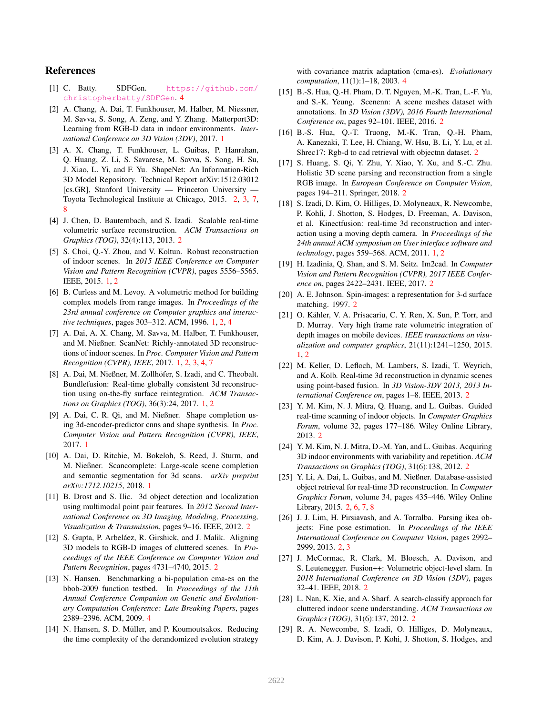### References

- [1] C. Batty. SDFGen. https://github.com/ christopherbatty/SDFGen. 4
- [2] A. Chang, A. Dai, T. Funkhouser, M. Halber, M. Niessner, M. Savva, S. Song, A. Zeng, and Y. Zhang. Matterport3D: Learning from RGB-D data in indoor environments. *International Conference on 3D Vision (3DV)*, 2017. 1
- [3] A. X. Chang, T. Funkhouser, L. Guibas, P. Hanrahan, Q. Huang, Z. Li, S. Savarese, M. Savva, S. Song, H. Su, J. Xiao, L. Yi, and F. Yu. ShapeNet: An Information-Rich 3D Model Repository. Technical Report arXiv:1512.03012 [cs.GR], Stanford University — Princeton University — Toyota Technological Institute at Chicago, 2015. 2, 3, 7, 8
- [4] J. Chen, D. Bautembach, and S. Izadi. Scalable real-time volumetric surface reconstruction. *ACM Transactions on Graphics (TOG)*, 32(4):113, 2013. 2
- [5] S. Choi, Q.-Y. Zhou, and V. Koltun. Robust reconstruction of indoor scenes. In *2015 IEEE Conference on Computer Vision and Pattern Recognition (CVPR)*, pages 5556–5565. IEEE, 2015. 1, 2
- [6] B. Curless and M. Levoy. A volumetric method for building complex models from range images. In *Proceedings of the 23rd annual conference on Computer graphics and interactive techniques*, pages 303–312. ACM, 1996. 1, 2, 4
- [7] A. Dai, A. X. Chang, M. Savva, M. Halber, T. Funkhouser, and M. Nießner. ScanNet: Richly-annotated 3D reconstructions of indoor scenes. In *Proc. Computer Vision and Pattern Recognition (CVPR), IEEE*, 2017. 1, 2, 3, 4, 7
- [8] A. Dai, M. Nießner, M. Zollhöfer, S. Izadi, and C. Theobalt. Bundlefusion: Real-time globally consistent 3d reconstruction using on-the-fly surface reintegration. *ACM Transactions on Graphics (TOG)*, 36(3):24, 2017. 1, 2
- [9] A. Dai, C. R. Qi, and M. Nießner. Shape completion using 3d-encoder-predictor cnns and shape synthesis. In *Proc. Computer Vision and Pattern Recognition (CVPR), IEEE*, 2017. 1
- [10] A. Dai, D. Ritchie, M. Bokeloh, S. Reed, J. Sturm, and M. Nießner. Scancomplete: Large-scale scene completion and semantic segmentation for 3d scans. *arXiv preprint arXiv:1712.10215*, 2018. 1
- [11] B. Drost and S. Ilic. 3d object detection and localization using multimodal point pair features. In *2012 Second International Conference on 3D Imaging, Modeling, Processing, Visualization & Transmission*, pages 9–16. IEEE, 2012. 2
- [12] S. Gupta, P. Arbeláez, R. Girshick, and J. Malik. Aligning 3D models to RGB-D images of cluttered scenes. In *Proceedings of the IEEE Conference on Computer Vision and Pattern Recognition*, pages 4731–4740, 2015. 2
- [13] N. Hansen. Benchmarking a bi-population cma-es on the bbob-2009 function testbed. In *Proceedings of the 11th Annual Conference Companion on Genetic and Evolutionary Computation Conference: Late Breaking Papers*, pages 2389–2396. ACM, 2009. 4
- [14] N. Hansen, S. D. Müller, and P. Koumoutsakos. Reducing the time complexity of the derandomized evolution strategy

with covariance matrix adaptation (cma-es). *Evolutionary computation*, 11(1):1–18, 2003. 4

- [15] B.-S. Hua, Q.-H. Pham, D. T. Nguyen, M.-K. Tran, L.-F. Yu, and S.-K. Yeung. Scenenn: A scene meshes dataset with annotations. In *3D Vision (3DV), 2016 Fourth International Conference on*, pages 92–101. IEEE, 2016. 2
- [16] B.-S. Hua, Q.-T. Truong, M.-K. Tran, Q.-H. Pham, A. Kanezaki, T. Lee, H. Chiang, W. Hsu, B. Li, Y. Lu, et al. Shrec17: Rgb-d to cad retrieval with objectnn dataset. 2
- [17] S. Huang, S. Qi, Y. Zhu, Y. Xiao, Y. Xu, and S.-C. Zhu. Holistic 3D scene parsing and reconstruction from a single RGB image. In *European Conference on Computer Vision*, pages 194–211. Springer, 2018. 2
- [18] S. Izadi, D. Kim, O. Hilliges, D. Molyneaux, R. Newcombe, P. Kohli, J. Shotton, S. Hodges, D. Freeman, A. Davison, et al. Kinectfusion: real-time 3d reconstruction and interaction using a moving depth camera. In *Proceedings of the 24th annual ACM symposium on User interface software and technology*, pages 559–568. ACM, 2011. 1, 2
- [19] H. Izadinia, Q. Shan, and S. M. Seitz. Im2cad. In *Computer Vision and Pattern Recognition (CVPR), 2017 IEEE Conference on*, pages 2422–2431. IEEE, 2017. 2
- [20] A. E. Johnson. Spin-images: a representation for 3-d surface matching. 1997. 2
- [21] O. Kähler, V. A. Prisacariu, C. Y. Ren, X. Sun, P. Torr, and D. Murray. Very high frame rate volumetric integration of depth images on mobile devices. *IEEE transactions on visualization and computer graphics*, 21(11):1241–1250, 2015. 1, 2
- [22] M. Keller, D. Lefloch, M. Lambers, S. Izadi, T. Weyrich, and A. Kolb. Real-time 3d reconstruction in dynamic scenes using point-based fusion. In *3D Vision-3DV 2013, 2013 International Conference on*, pages 1–8. IEEE, 2013. 2
- [23] Y. M. Kim, N. J. Mitra, Q. Huang, and L. Guibas. Guided real-time scanning of indoor objects. In *Computer Graphics Forum*, volume 32, pages 177–186. Wiley Online Library, 2013. 2
- [24] Y. M. Kim, N. J. Mitra, D.-M. Yan, and L. Guibas. Acquiring 3D indoor environments with variability and repetition. *ACM Transactions on Graphics (TOG)*, 31(6):138, 2012. 2
- [25] Y. Li, A. Dai, L. Guibas, and M. Nießner. Database-assisted object retrieval for real-time 3D reconstruction. In *Computer Graphics Forum*, volume 34, pages 435–446. Wiley Online Library, 2015. 2, 6, 7, 8
- [26] J. J. Lim, H. Pirsiavash, and A. Torralba. Parsing ikea objects: Fine pose estimation. In *Proceedings of the IEEE International Conference on Computer Vision*, pages 2992– 2999, 2013. 2, 3
- [27] J. McCormac, R. Clark, M. Bloesch, A. Davison, and S. Leutenegger. Fusion++: Volumetric object-level slam. In *2018 International Conference on 3D Vision (3DV)*, pages 32–41. IEEE, 2018. 2
- [28] L. Nan, K. Xie, and A. Sharf. A search-classify approach for cluttered indoor scene understanding. *ACM Transactions on Graphics (TOG)*, 31(6):137, 2012. 2
- [29] R. A. Newcombe, S. Izadi, O. Hilliges, D. Molyneaux, D. Kim, A. J. Davison, P. Kohi, J. Shotton, S. Hodges, and